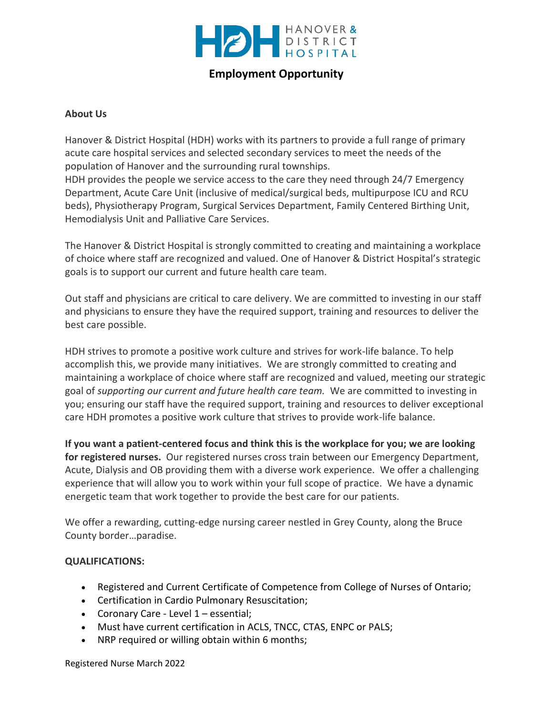

## **Employment Opportunity**

## **About Us**

Hanover & District Hospital (HDH) works with its partners to provide a full range of primary acute care hospital services and selected secondary services to meet the needs of the population of Hanover and the surrounding rural townships.

HDH provides the people we service access to the care they need through 24/7 Emergency Department, Acute Care Unit (inclusive of medical/surgical beds, multipurpose ICU and RCU beds), Physiotherapy Program, Surgical Services Department, Family Centered Birthing Unit, Hemodialysis Unit and Palliative Care Services.

The Hanover & District Hospital is strongly committed to creating and maintaining a workplace of choice where staff are recognized and valued. One of Hanover & District Hospital's strategic goals is to support our current and future health care team.

Out staff and physicians are critical to care delivery. We are committed to investing in our staff and physicians to ensure they have the required support, training and resources to deliver the best care possible.

HDH strives to promote a positive work culture and strives for work-life balance. To help accomplish this, we provide many initiatives. We are strongly committed to creating and maintaining a workplace of choice where staff are recognized and valued, meeting our strategic goal of *supporting our current and future health care team.* We are committed to investing in you; ensuring our staff have the required support, training and resources to deliver exceptional care HDH promotes a positive work culture that strives to provide work-life balance.

**If you want a patient-centered focus and think this is the workplace for you; we are looking for registered nurses.** Our registered nurses cross train between our Emergency Department, Acute, Dialysis and OB providing them with a diverse work experience. We offer a challenging experience that will allow you to work within your full scope of practice. We have a dynamic energetic team that work together to provide the best care for our patients.

We offer a rewarding, cutting-edge nursing career nestled in Grey County, along the Bruce County border…paradise.

## **QUALIFICATIONS:**

- Registered and Current Certificate of Competence from College of Nurses of Ontario;
- Certification in Cardio Pulmonary Resuscitation;
- Coronary Care Level 1 essential;
- Must have current certification in ACLS, TNCC, CTAS, ENPC or PALS;
- NRP required or willing obtain within 6 months;

Registered Nurse March 2022